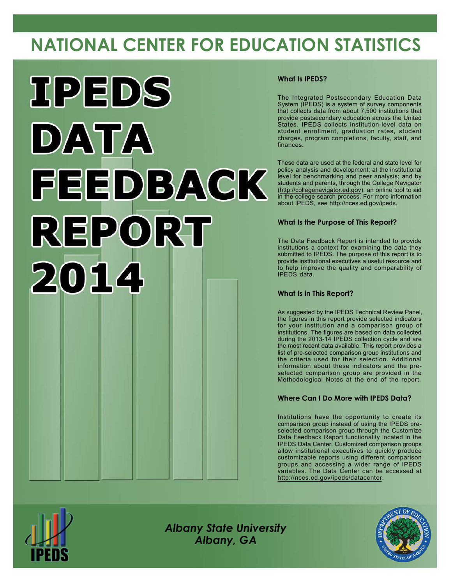# **NATIONAL CENTER FOR EDUCATION STATISTICS**



#### **What Is IPEDS?**

The Integrated Postsecondary Education Data System (IPEDS) is a system of survey components that collects data from about 7,500 institutions that provide postsecondary education across the United States. IPEDS collects institution-level data on student enrollment, graduation rates, student charges, program completions, faculty, staff, and finances.

These data are used at the federal and state level for policy analysis and development; at the institutional level for benchmarking and peer analysis; and by students and parents, through the College Navigator [\(http://collegenavigator.ed.gov](http://collegenavigator.ed.gov)), an online tool to aid in the college search process. For more information about IPEDS, see <http://nces.ed.gov/ipeds>.

#### **What Is the Purpose of This Report?**

The Data Feedback Report is intended to provide institutions a context for examining the data they submitted to IPEDS. The purpose of this report is to provide institutional executives a useful resource and to help improve the quality and comparability of IPEDS data.

#### **What Is in This Report?**

As suggested by the IPEDS Technical Review Panel, the figures in this report provide selected indicators for your institution and a comparison group of institutions. The figures are based on data collected during the 2013-14 IPEDS collection cycle and are the most recent data available. This report provides a list of pre-selected comparison group institutions and the criteria used for their selection. Additional information about these indicators and the preselected comparison group are provided in the Methodological Notes at the end of the report.

#### **Where Can I Do More with IPEDS Data?**

Institutions have the opportunity to create its comparison group instead of using the IPEDS preselected comparison group through the Customize Data Feedback Report functionality located in the IPEDS Data Center. Customized comparison groups allow institutional executives to quickly produce customizable reports using different comparison groups and accessing a wider range of IPEDS variables. The Data Center can be accessed at <http://nces.ed.gov/ipeds/datacenter>.



*Albany State University Albany, GA*

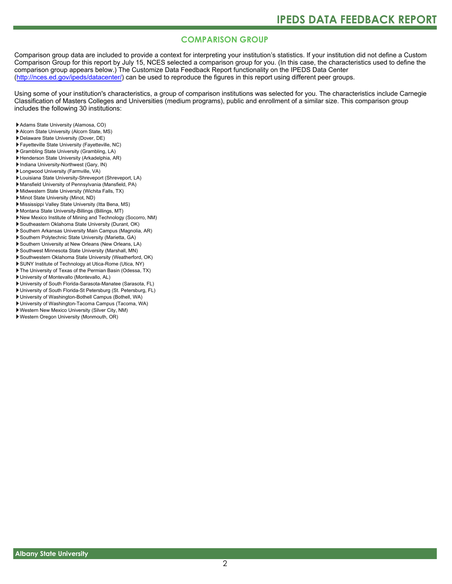### **COMPARISON GROUP**

Comparison group data are included to provide a context for interpreting your institution's statistics. If your institution did not define a Custom Comparison Group for this report by July 15, NCES selected a comparison group for you. (In this case, the characteristics used to define the comparison group appears below.) The Customize Data Feedback Report functionality on the IPEDS Data Center [\(http://nces.ed.gov/ipeds/datacenter/\)](http://nces.ed.gov/ipeds/datacenter/) can be used to reproduce the figures in this report using different peer groups.

Using some of your institution's characteristics, a group of comparison institutions was selected for you. The characteristics include Carnegie Classification of Masters Colleges and Universities (medium programs), public and enrollment of a similar size. This comparison group includes the following 30 institutions:

- Adams State University (Alamosa, CO)
- Alcorn State University (Alcorn State, MS)
- Delaware State University (Dover, DE)
- Fayetteville State University (Fayetteville, NC)
- Grambling State University (Grambling, LA)
- Henderson State University (Arkadelphia, AR)
- Indiana University-Northwest (Gary, IN)
- Longwood University (Farmville, VA)
- Louisiana State University-Shreveport (Shreveport, LA)
- Mansfield University of Pennsylvania (Mansfield, PA) Midwestern State University (Wichita Falls, TX)
- Minot State University (Minot, ND)
- Mississippi Valley State University (Itta Bena, MS)
- Montana State University-Billings (Billings, MT)
- New Mexico Institute of Mining and Technology (Socorro, NM)
- Southeastern Oklahoma State University (Durant, OK)
- Southern Arkansas University Main Campus (Magnolia, AR)
- Southern Polytechnic State University (Marietta, GA)
- Southern University at New Orleans (New Orleans, LA)
- Southwest Minnesota State University (Marshall, MN)
- Southwestern Oklahoma State University (Weatherford, OK)
- SUNY Institute of Technology at Utica-Rome (Utica, NY)
- The University of Texas of the Permian Basin (Odessa, TX)
- University of Montevallo (Montevallo, AL)
- University of South Florida-Sarasota-Manatee (Sarasota, FL)
- University of South Florida-St Petersburg (St. Petersburg, FL)
- University of Washington-Bothell Campus (Bothell, WA) University of Washington-Tacoma Campus (Tacoma, WA)
- Western New Mexico University (Silver City, NM)
- Western Oregon University (Monmouth, OR)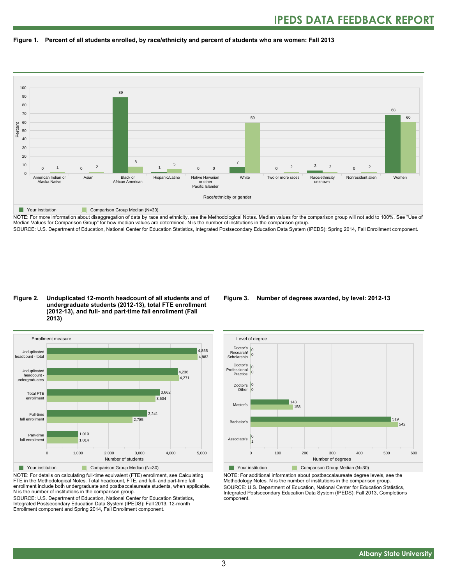



NOTE: For more information about disaggregation of data by race and ethnicity, see the Methodological Notes. Median values for the comparison group will not add to 100%. See "Use of Median Values for Comparison Group" for how median values are determined. N is the number of institutions in the comparison group. SOURCE: U.S. Department of Education, National Center for Education Statistics, Integrated Postsecondary Education Data System (IPEDS): Spring 2014, Fall Enrollment component.

#### **Figure 2. Unduplicated 12-month headcount of all students and of undergraduate students (2012-13), total FTE enrollment (2012-13), and full- and part-time fall enrollment (Fall 2013)**



NOTE: For details on calculating full-time equivalent (FTE) enrollment, see Calculating FTE in the Methodological Notes. Total headcount, FTE, and full- and part-time fall enrollment include both undergraduate and postbaccalaureate students, when applicable. N is the number of institutions in the comparison group.

SOURCE: U.S. Department of Education, National Center for Education Statistics, Integrated Postsecondary Education Data System (IPEDS): Fall 2013, 12-month Enrollment component and Spring 2014, Fall Enrollment component.

#### **Figure 3. Number of degrees awarded, by level: 2012-13**



NOTE: For additional information about postbaccalaureate degree levels, see the Methodology Notes. N is the number of institutions in the comparison group. SOURCE: U.S. Department of Education, National Center for Education Statistics, Integrated Postsecondary Education Data System (IPEDS): Fall 2013, Completions component.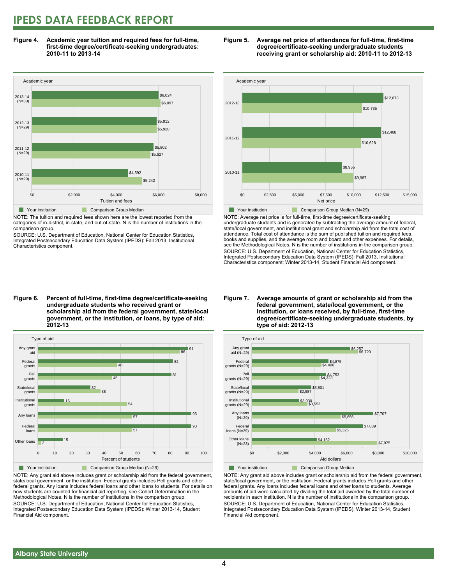### **IPEDS DATA FEEDBACK REPORT**

**Figure 4. Academic year tuition and required fees for full-time, first-time degree/certificate-seeking undergraduates: 2010-11 to 2013-14**



NOTE: The tuition and required fees shown here are the lowest reported from the categories of in-district, in-state, and out-of-state. N is the number of institutions in the comparison group.

SOURCE: U.S. Department of Education, National Center for Education Statistics, Integrated Postsecondary Education Data System (IPEDS): Fall 2013, Institutional Characteristics component.





NOTE: Average net price is for full-time, first-time degree/certificate-seeking undergraduate students and is generated by subtracting the average amount of federal, state/local government, and institutional grant and scholarship aid from the total cost of attendance. Total cost of attendance is the sum of published tuition and required fees, books and supplies, and the average room and board and other expenses. For details, see the Methodological Notes. N is the number of institutions in the comparison group. SOURCE: U.S. Department of Education, National Center for Education Statistics, Integrated Postsecondary Education Data System (IPEDS): Fall 2013, Institutional Characteristics component; Winter 2013-14, Student Financial Aid component.

**Figure 6. Percent of full-time, first-time degree/certificate-seeking undergraduate students who received grant or scholarship aid from the federal government, state/local government, or the institution, or loans, by type of aid: 2012-13**



NOTE: Any grant aid above includes grant or scholarship aid from the federal government, state/local government, or the institution. Federal grants includes Pell grants and other federal grants. Any loans includes federal loans and other loans to students. For details on how students are counted for financial aid reporting, see Cohort Determination in the Methodological Notes. N is the number of institutions in the comparison group. SOURCE: U.S. Department of Education, National Center for Education Statistics, Integrated Postsecondary Education Data System (IPEDS): Winter 2013-14, Student Financial Aid component.

#### **Figure 7. Average amounts of grant or scholarship aid from the federal government, state/local government, or the institution, or loans received, by full-time, first-time degree/certificate-seeking undergraduate students, by type of aid: 2012-13**



NOTE: Any grant aid above includes grant or scholarship aid from the federal government, state/local government, or the institution. Federal grants includes Pell grants and other federal grants. Any loans includes federal loans and other loans to students. Average amounts of aid were calculated by dividing the total aid awarded by the total number of recipients in each institution. N is the number of institutions in the comparison group. SOURCE: U.S. Department of Education, National Center for Education Statistics, Integrated Postsecondary Education Data System (IPEDS): Winter 2013-14, Student Financial Aid component.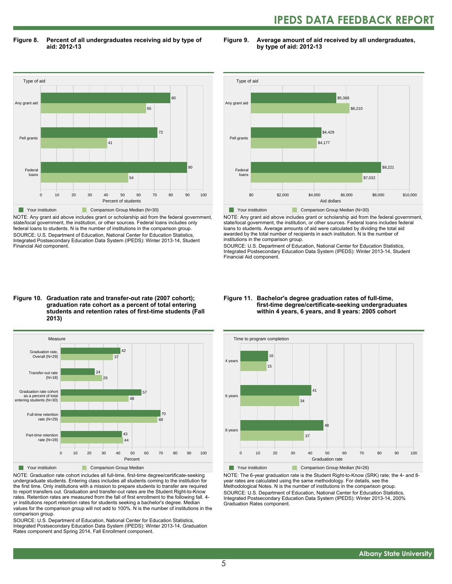## **IPEDS DATA FEEDBACK REPORT**

**Figure 8. Percent of all undergraduates receiving aid by type of aid: 2012-13**

**Figure 9. Average amount of aid received by all undergraduates, by type of aid: 2012-13**



NOTE: Any grant aid above includes grant or scholarship aid from the federal government, state/local government, the institution, or other sources. Federal loans includes only federal loans to students. N is the number of institutions in the comparison group. SOURCE: U.S. Department of Education, National Center for Education Statistics, Integrated Postsecondary Education Data System (IPEDS): Winter 2013-14, Student Financial Aid component.



NOTE: Any grant aid above includes grant or scholarship aid from the federal government, state/local government, the institution, or other sources. Federal loans includes federal loans to students. Average amounts of aid were calculated by dividing the total aid awarded by the total number of recipients in each institution. N is the number of institutions in the comparison group.

SOURCE: U.S. Department of Education, National Center for Education Statistics, Integrated Postsecondary Education Data System (IPEDS): Winter 2013-14, Student Financial Aid component.

#### **Figure 10. Graduation rate and transfer-out rate (2007 cohort); graduation rate cohort as a percent of total entering students and retention rates of first-time students (Fall 2013)**



NOTE: Graduation rate cohort includes all full-time, first-time degree/certificate-seeking undergraduate students. Entering class includes all students coming to the institution for the first time. Only institutions with a mission to prepare students to transfer are required to report transfers out. Graduation and transfer-out rates are the Student Right-to-Know rates. Retention rates are measured from the fall of first enrollment to the following fall. 4 yr institutions report retention rates for students seeking a bachelor's degree. Median values for the comparison group will not add to 100%. N is the number of institutions in the comparison group.

SOURCE: U.S. Department of Education, National Center for Education Statistics, Integrated Postsecondary Education Data System (IPEDS): Winter 2013-14, Graduation Rates component and Spring 2014, Fall Enrollment component.

#### **Figure 11. Bachelor's degree graduation rates of full-time, first-time degree/certificate-seeking undergraduates within 4 years, 6 years, and 8 years: 2005 cohort**



NOTE: The 6-year graduation rate is the Student Right-to-Know (SRK) rate; the 4- and 8 year rates are calculated using the same methodology. For details, see the Methodological Notes. N is the number of institutions in the comparison group. SOURCE: U.S. Department of Education, National Center for Education Statistics, Integrated Postsecondary Education Data System (IPEDS): Winter 2013-14, 200% Graduation Rates component.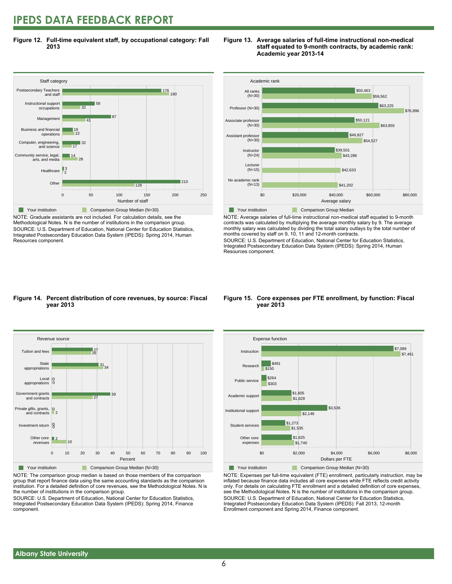### **IPEDS DATA FEEDBACK REPORT**

**Figure 12. Full-time equivalent staff, by occupational category: Fall 2013**



NOTE: Graduate assistants are not included. For calculation details, see the Methodological Notes. N is the number of institutions in the comparison group. SOURCE: U.S. Department of Education, National Center for Education Statistics, Integrated Postsecondary Education Data System (IPEDS): Spring 2014, Human Resources component.





NOTE: Average salaries of full-time instructional non-medical staff equated to 9-month contracts was calculated by multiplying the average monthly salary by 9. The average monthly salary was calculated by dividing the total salary outlays by the total number of months covered by staff on 9, 10, 11 and 12-month contracts.

SOURCE: U.S. Department of Education, National Center for Education Statistics, Integrated Postsecondary Education Data System (IPEDS): Spring 2014, Human Resources component.

#### **Figure 14. Percent distribution of core revenues, by source: Fiscal year 2013**



NOTE: The comparison group median is based on those members of the comparison group that report finance data using the same accounting standards as the comparison institution. For a detailed definition of core revenues, see the Methodological Notes. N is the number of institutions in the comparison group.

SOURCE: U.S. Department of Education, National Center for Education Statistics, Integrated Postsecondary Education Data System (IPEDS): Spring 2014, Finance component.

#### **Figure 15. Core expenses per FTE enrollment, by function: Fiscal year 2013**



NOTE: Expenses per full-time equivalent (FTE) enrollment, particularly instruction, may be inflated because finance data includes all core expenses while FTE reflects credit activity only. For details on calculating FTE enrollment and a detailed definition of core expenses, see the Methodological Notes. N is the number of institutions in the comparison group. SOURCE: U.S. Department of Education, National Center for Education Statistics, Integrated Postsecondary Education Data System (IPEDS): Fall 2013, 12-month Enrollment component and Spring 2014, Finance component.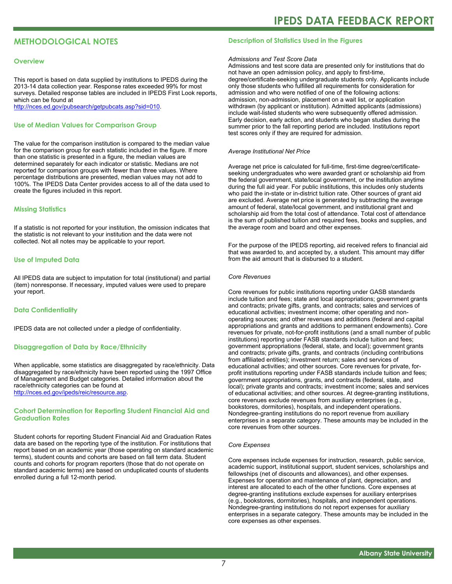### **METHODOLOGICAL NOTES**

#### **Overview**

This report is based on data supplied by institutions to IPEDS during the 2013-14 data collection year. Response rates exceeded 99% for most surveys. Detailed response tables are included in IPEDS First Look reports, which can be found at [http://nces.ed.gov/pubsearch/getpubcats.asp?sid=010.](http://nces.ed.gov/pubsearch/getpubcats.asp?sid=010)

#### **Use of Median Values for Comparison Group**

The value for the comparison institution is compared to the median value for the comparison group for each statistic included in the figure. If more than one statistic is presented in a figure, the median values are determined separately for each indicator or statistic. Medians are not reported for comparison groups with fewer than three values. Where percentage distributions are presented, median values may not add to 100%. The IPEDS Data Center provides access to all of the data used to create the figures included in this report.

#### **Missing Statistics**

If a statistic is not reported for your institution, the omission indicates that the statistic is not relevant to your institution and the data were not collected. Not all notes may be applicable to your report.

#### **Use of Imputed Data**

All IPEDS data are subject to imputation for total (institutional) and partial (item) nonresponse. If necessary, imputed values were used to prepare your report.

#### **Data Confidentiality**

IPEDS data are not collected under a pledge of confidentiality.

#### **Disaggregation of Data by Race/Ethnicity**

When applicable, some statistics are disaggregated by race/ethnicity. Data disaggregated by race/ethnicity have been reported using the 1997 Office of Management and Budget categories. Detailed information about the race/ethnicity categories can be found at <http://nces.ed.gov/ipeds/reic/resource.asp>.

#### **Cohort Determination for Reporting Student Financial Aid and Graduation Rates**

Student cohorts for reporting Student Financial Aid and Graduation Rates data are based on the reporting type of the institution. For institutions that report based on an academic year (those operating on standard academic terms), student counts and cohorts are based on fall term data. Student counts and cohorts for program reporters (those that do not operate on standard academic terms) are based on unduplicated counts of students enrolled during a full 12-month period.

#### **Description of Statistics Used in the Figures**

#### *Admissions and Test Score Data*

Admissions and test score data are presented only for institutions that do not have an open admission policy, and apply to first-time, degree/certificate-seeking undergraduate students only. Applicants include only those students who fulfilled all requirements for consideration for admission and who were notified of one of the following actions: admission, non-admission, placement on a wait list, or application withdrawn (by applicant or institution). Admitted applicants (admissions) include wait-listed students who were subsequently offered admission. Early decision, early action, and students who began studies during the summer prior to the fall reporting period are included. Institutions report test scores only if they are required for admission.

#### *Average Institutional Net Price*

Average net price is calculated for full-time, first-time degree/certificateseeking undergraduates who were awarded grant or scholarship aid from the federal government, state/local government, or the institution anytime during the full aid year. For public institutions, this includes only students who paid the in-state or in-district tuition rate. Other sources of grant aid are excluded. Average net price is generated by subtracting the average amount of federal, state/local government, and institutional grant and scholarship aid from the total cost of attendance. Total cost of attendance is the sum of published tuition and required fees, books and supplies, and the average room and board and other expenses.

For the purpose of the IPEDS reporting, aid received refers to financial aid that was awarded to, and accepted by, a student. This amount may differ from the aid amount that is disbursed to a student.

#### *Core Revenues*

Core revenues for public institutions reporting under GASB standards include tuition and fees; state and local appropriations; government grants and contracts; private gifts, grants, and contracts; sales and services of educational activities; investment income; other operating and nonoperating sources; and other revenues and additions (federal and capital appropriations and grants and additions to permanent endowments). Core revenues for private, not-for-profit institutions (and a small number of public institutions) reporting under FASB standards include tuition and fees; government appropriations (federal, state, and local); government grants and contracts; private gifts, grants, and contracts (including contributions from affiliated entities); investment return; sales and services of educational activities; and other sources. Core revenues for private, forprofit institutions reporting under FASB standards include tuition and fees; government appropriations, grants, and contracts (federal, state, and local); private grants and contracts; investment income; sales and services of educational activities; and other sources. At degree-granting institutions, core revenues exclude revenues from auxiliary enterprises (e.g., bookstores, dormitories), hospitals, and independent operations. Nondegree-granting institutions do no report revenue from auxiliary enterprises in a separate category. These amounts may be included in the core revenues from other sources.

#### *Core Expenses*

Core expenses include expenses for instruction, research, public service, academic support, institutional support, student services, scholarships and fellowships (net of discounts and allowances), and other expenses. Expenses for operation and maintenance of plant, depreciation, and interest are allocated to each of the other functions. Core expenses at degree-granting institutions exclude expenses for auxiliary enterprises (e.g., bookstores, dormitories), hospitals, and independent operations. Nondegree-granting institutions do not report expenses for auxiliary enterprises in a separate category. These amounts may be included in the core expenses as other expenses.